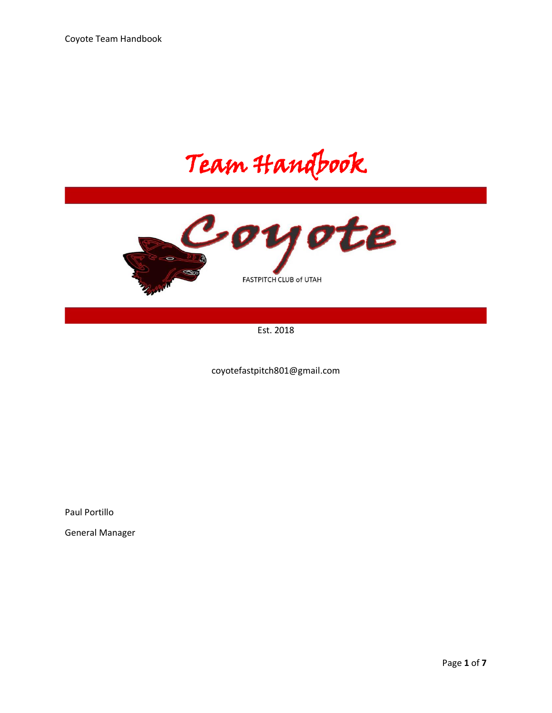Team Handbook



Est. 2018

coyotefastpitch801@gmail.com

Paul Portillo

General Manager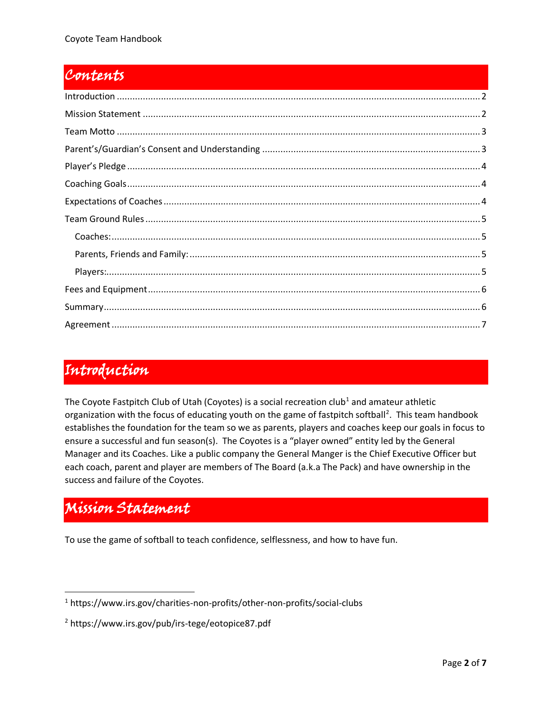#### Contents

### <span id="page-1-0"></span>Introduction

The Coyote Fastpitch Club of Utah (Coyotes) is a social recreation club<sup>1</sup> and amateur athletic organization with the focus of educating youth on the game of fastpitch softball<sup>2</sup>. This team handbook establishes the foundation for the team so we as parents, players and coaches keep our goals in focus to ensure a successful and fun season(s). The Coyotes is a "player owned" entity led by the General Manager and its Coaches. Like a public company the General Manger is the Chief Executive Officer but each coach, parent and player are members of The Board (a.k.a The Pack) and have ownership in the success and failure of the Coyotes.

# <span id="page-1-1"></span>Mission Statement

To use the game of softball to teach confidence, selflessness, and how to have fun.

<sup>1</sup> https://www.irs.gov/charities-non-profits/other-non-profits/social-clubs

<sup>2</sup> https://www.irs.gov/pub/irs-tege/eotopice87.pdf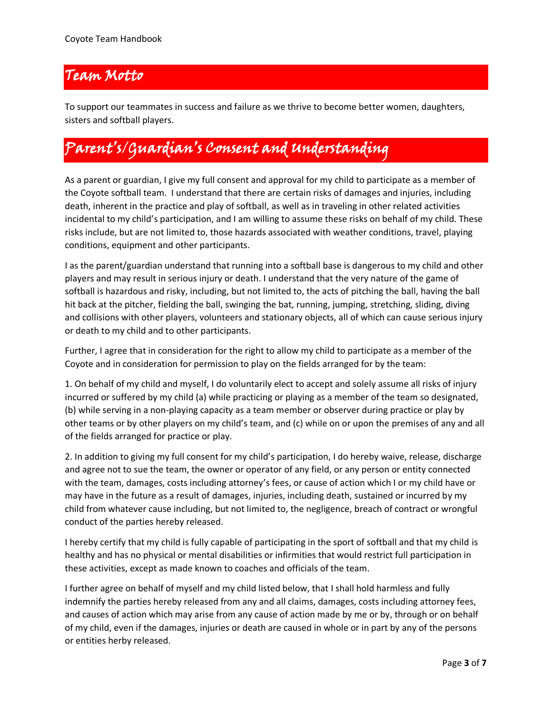#### <span id="page-2-0"></span>Team Motto

To support our teammates in success and failure as we thrive to become better women, daughters, sisters and softball players.

# <span id="page-2-1"></span>Parent's/Guardian's Consent and Understanding

As a parent or guardian, I give my full consent and approval for my child to participate as a member of the Coyote softball team. I understand that there are certain risks of damages and injuries, including death, inherent in the practice and play of softball, as well as in traveling in other related activities incidental to my child's participation, and I am willing to assume these risks on behalf of my child. These risks include, but are not limited to, those hazards associated with weather conditions, travel, playing conditions, equipment and other participants.

I as the parent/guardian understand that running into a softball base is dangerous to my child and other players and may result in serious injury or death. I understand that the very nature of the game of softball is hazardous and risky, including, but not limited to, the acts of pitching the ball, having the ball hit back at the pitcher, fielding the ball, swinging the bat, running, jumping, stretching, sliding, diving and collisions with other players, volunteers and stationary objects, all of which can cause serious injury or death to my child and to other participants.

Further, I agree that in consideration for the right to allow my child to participate as a member of the Coyote and in consideration for permission to play on the fields arranged for by the team:

1. On behalf of my child and myself, I do voluntarily elect to accept and solely assume all risks of injury incurred or suffered by my child (a) while practicing or playing as a member of the team so designated, (b) while serving in a non-playing capacity as a team member or observer during practice or play by other teams or by other players on my child's team, and (c) while on or upon the premises of any and all of the fields arranged for practice or play.

2. In addition to giving my full consent for my child's participation, I do hereby waive, release, discharge and agree not to sue the team, the owner or operator of any field, or any person or entity connected with the team, damages, costs including attorney's fees, or cause of action which I or my child have or may have in the future as a result of damages, injuries, including death, sustained or incurred by my child from whatever cause including, but not limited to, the negligence, breach of contract or wrongful conduct of the parties hereby released.

I hereby certify that my child is fully capable of participating in the sport of softball and that my child is healthy and has no physical or mental disabilities or infirmities that would restrict full participation in these activities, except as made known to coaches and officials of the team.

I further agree on behalf of myself and my child listed below, that I shall hold harmless and fully indemnify the parties hereby released from any and all claims, damages, costs including attorney fees, and causes of action which may arise from any cause of action made by me or by, through or on behalf of my child, even if the damages, injuries or death are caused in whole or in part by any of the persons or entities herby released.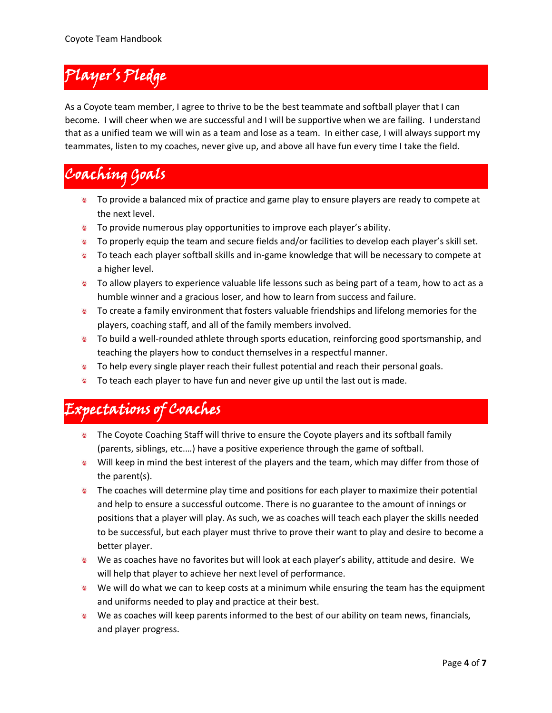# <span id="page-3-0"></span>Player's Pledge

As a Coyote team member, I agree to thrive to be the best teammate and softball player that I can become. I will cheer when we are successful and I will be supportive when we are failing. I understand that as a unified team we will win as a team and lose as a team. In either case, I will always support my teammates, listen to my coaches, never give up, and above all have fun every time I take the field.

# <span id="page-3-1"></span>Coaching Goals

- To provide a balanced mix of practice and game play to ensure players are ready to compete at the next level.
- **To provide numerous play opportunities to improve each player's ability.**
- **To properly equip the team and secure fields and/or facilities to develop each player's skill set.**
- To teach each player softball skills and in-game knowledge that will be necessary to compete at a higher level.
- To allow players to experience valuable life lessons such as being part of a team, how to act as a humble winner and a gracious loser, and how to learn from success and failure.
- To create a family environment that fosters valuable friendships and lifelong memories for the players, coaching staff, and all of the family members involved.
- **To build a well-rounded athlete through sports education, reinforcing good sportsmanship, and** teaching the players how to conduct themselves in a respectful manner.
- To help every single player reach their fullest potential and reach their personal goals.
- **To teach each player to have fun and never give up until the last out is made.**

# <span id="page-3-2"></span>Expectations of Coaches

- The Coyote Coaching Staff will thrive to ensure the Coyote players and its softball family (parents, siblings, etc.…) have a positive experience through the game of softball.
- Will keep in mind the best interest of the players and the team, which may differ from those of the parent(s).
- $\bullet$  The coaches will determine play time and positions for each player to maximize their potential and help to ensure a successful outcome. There is no guarantee to the amount of innings or positions that a player will play. As such, we as coaches will teach each player the skills needed to be successful, but each player must thrive to prove their want to play and desire to become a better player.
- We as coaches have no favorites but will look at each player's ability, attitude and desire. We will help that player to achieve her next level of performance.
- We will do what we can to keep costs at a minimum while ensuring the team has the equipment and uniforms needed to play and practice at their best.
- We as coaches will keep parents informed to the best of our ability on team news, financials, and player progress.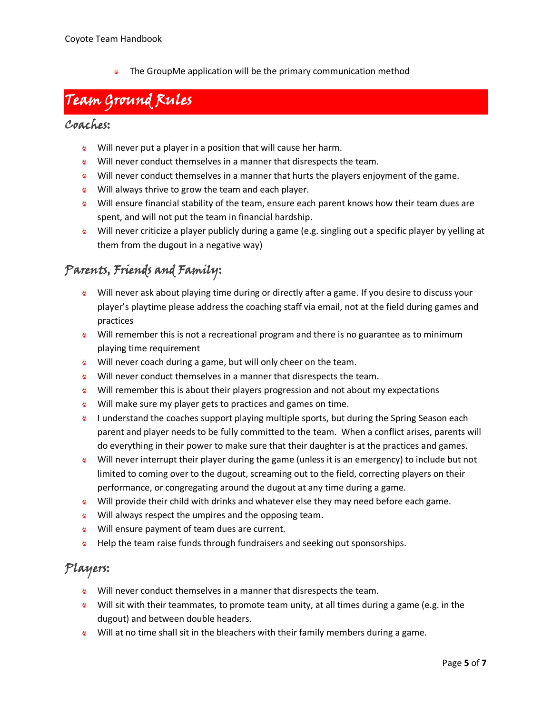$\bullet$  The GroupMe application will be the primary communication method

## <span id="page-4-0"></span>Team Ground Rules

#### <span id="page-4-1"></span>Coaches:

- Will never put a player in a position that will cause her harm.
- Will never conduct themselves in a manner that disrespects the team.
- Will never conduct themselves in a manner that hurts the players enjoyment of the game.
- Will always thrive to grow the team and each player.
- Will ensure financial stability of the team, ensure each parent knows how their team dues are spent, and will not put the team in financial hardship.
- Will never criticize a player publicly during a game (e.g. singling out a specific player by yelling at them from the dugout in a negative way)

### <span id="page-4-2"></span>Parents, Friends and Family:

- Will never ask about playing time during or directly after a game. If you desire to discuss your player's playtime please address the coaching staff via email, not at the field during games and practices
- Will remember this is not a recreational program and there is no guarantee as to minimum playing time requirement
- Will never coach during a game, but will only cheer on the team.
- Will never conduct themselves in a manner that disrespects the team.
- Will remember this is about their players progression and not about my expectations
- Will make sure my player gets to practices and games on time.
- I understand the coaches support playing multiple sports, but during the Spring Season each parent and player needs to be fully committed to the team. When a conflict arises, parents will do everything in their power to make sure that their daughter is at the practices and games.
- Will never interrupt their player during the game (unless it is an emergency) to include but not limited to coming over to the dugout, screaming out to the field, correcting players on their performance, or congregating around the dugout at any time during a game.
- Will provide their child with drinks and whatever else they may need before each game.
- Will always respect the umpires and the opposing team.
- Will ensure payment of team dues are current.
- **Help the team raise funds through fundraisers and seeking out sponsorships.**

#### <span id="page-4-3"></span>Players:

- Will never conduct themselves in a manner that disrespects the team.
- Will sit with their teammates, to promote team unity, at all times during a game (e.g. in the dugout) and between double headers.
- Will at no time shall sit in the bleachers with their family members during a game.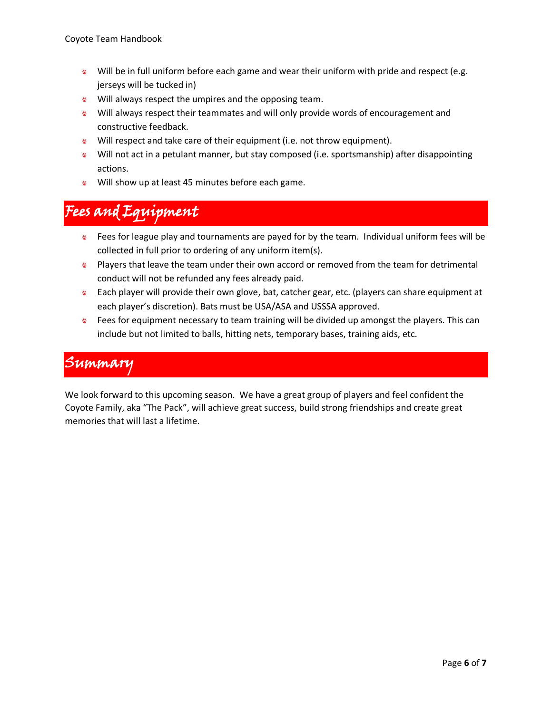- Will be in full uniform before each game and wear their uniform with pride and respect (e.g. jerseys will be tucked in)
- Will always respect the umpires and the opposing team.
- Will always respect their teammates and will only provide words of encouragement and constructive feedback.
- Will respect and take care of their equipment (i.e. not throw equipment).
- Will not act in a petulant manner, but stay composed (i.e. sportsmanship) after disappointing actions.
- Will show up at least 45 minutes before each game.

## <span id="page-5-0"></span>Fees and Equipment

- Fees for league play and tournaments are payed for by the team. Individual uniform fees will be collected in full prior to ordering of any uniform item(s).
- **Players that leave the team under their own accord or removed from the team for detrimental** conduct will not be refunded any fees already paid.
- Each player will provide their own glove, bat, catcher gear, etc. (players can share equipment at each player's discretion). Bats must be USA/ASA and USSSA approved.
- **Fees for equipment necessary to team training will be divided up amongst the players. This can** include but not limited to balls, hitting nets, temporary bases, training aids, etc.

#### <span id="page-5-1"></span>Summary

We look forward to this upcoming season. We have a great group of players and feel confident the Coyote Family, aka "The Pack", will achieve great success, build strong friendships and create great memories that will last a lifetime.